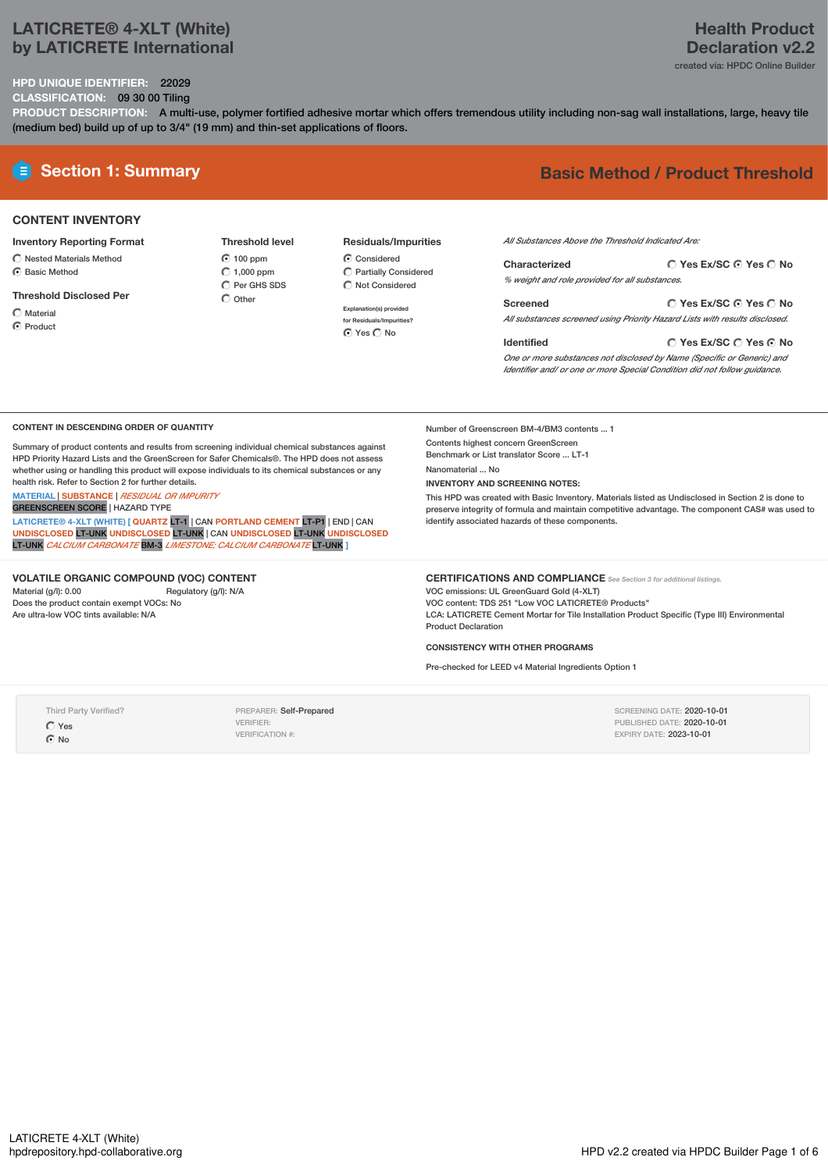## **LATICRETE® 4-XLT (White) by LATICRETE International**

## **Health Product Declaration v2.2**

created via: HPDC Online Builder

**Yes Ex/SC Yes No**

#### **HPD UNIQUE IDENTIFIER:** 22029 **CLASSIFICATION:** 09 30 00 Tiling

**PRODUCT DESCRIPTION:** A multi-use, polymer fortified adhesive mortar which offers tremendous utility including non-sag wall installations, large, heavy tile (medium bed) build up of up to 3/4" (19 mm) and thin-set applications of floors.

## **E** Section 1: Summary **Basic** Method / Product Threshold

## **CONTENT INVENTORY**

#### **Inventory Reporting Format**

- $\bigcirc$  Nested Materials Method C Basic Method
- 

#### **Threshold Disclosed Per**

- Material
- **C** Product

**Threshold level 6** 100 ppm  $\bigcirc$  1,000 ppm  $\overline{O}$  Per GHS SDS  $\bigcap$  Other

## **Residuals/Impurities**

C Considered Partially Considered  $\bigcirc$  Not Considered

**Explanation(s) provided for Residuals/Impurities?** O Yes O No

*All Substances Above the Threshold Indicated Are:*

| Characterized                                  | ◯ Yes Ex/SC ⊙ Yes ◯ No |
|------------------------------------------------|------------------------|
| % weight and role provided for all substances. |                        |

**Yes Ex/SC Yes No Screened** *All substances screened using Priority Hazard Lists with results disclosed.*

#### **Identified**

Number of Greenscreen BM-4/BM3 contents ... 1 Contents highest concern GreenScreen Benchmark or List translator Score ... LT-1

identify associated hazards of these components.

**INVENTORY AND SCREENING NOTES:**

Nanomaterial ... No

*One or more substances not disclosed by Name (Specific or Generic) and Identifier and/ or one or more Special Condition did not follow guidance.*

#### **CONTENT IN DESCENDING ORDER OF QUANTITY**

Summary of product contents and results from screening individual chemical substances against HPD Priority Hazard Lists and the GreenScreen for Safer Chemicals®. The HPD does not assess whether using or handling this product will expose individuals to its chemical substances or any health risk. Refer to Section 2 for further details.

## **MATERIAL** | **SUBSTANCE** | *RESIDUAL OR IMPURITY*

GREENSCREEN SCORE | HAZARD TYPE

**LATICRETE® 4-XLT (WHITE) [ QUARTZ** LT-1 | CAN **PORTLAND CEMENT** LT-P1 | END | CAN **UNDISCLOSED** LT-UNK **UNDISCLOSED** LT-UNK | CAN **UNDISCLOSED** LT-UNK **UNDISCLOSED** LT-UNK *CALCIUM CARBONATE* BM-3 *LIMESTONE; CALCIUM CARBONATE* LT-UNK **]**

#### **VOLATILE ORGANIC COMPOUND (VOC) CONTENT**

Material (g/l): 0.00 Regulatory (g/l): N/A Does the product contain exempt VOCs: No Are ultra-low VOC tints available: N/A

#### **CERTIFICATIONS AND COMPLIANCE** *See Section <sup>3</sup> for additional listings.*

VOC emissions: UL GreenGuard Gold (4-XLT) VOC content: TDS 251 "Low VOC LATICRETE® Products" LCA: LATICRETE Cement Mortar for Tile Installation Product Specific (Type III) Environmental Product Declaration

> SCREENING DATE: 2020-10-01 PUBLISHED DATE: 2020-10-01 EXPIRY DATE: 2023-10-01

This HPD was created with Basic Inventory. Materials listed as Undisclosed in Section 2 is done to preserve integrity of formula and maintain competitive advantage. The component CAS# was used to

#### **CONSISTENCY WITH OTHER PROGRAMS**

Pre-checked for LEED v4 Material Ingredients Option 1

Third Party Verified? Yes  $\odot$  No

PREPARER: Self-Prepared VERIFIER: VERIFICATION #: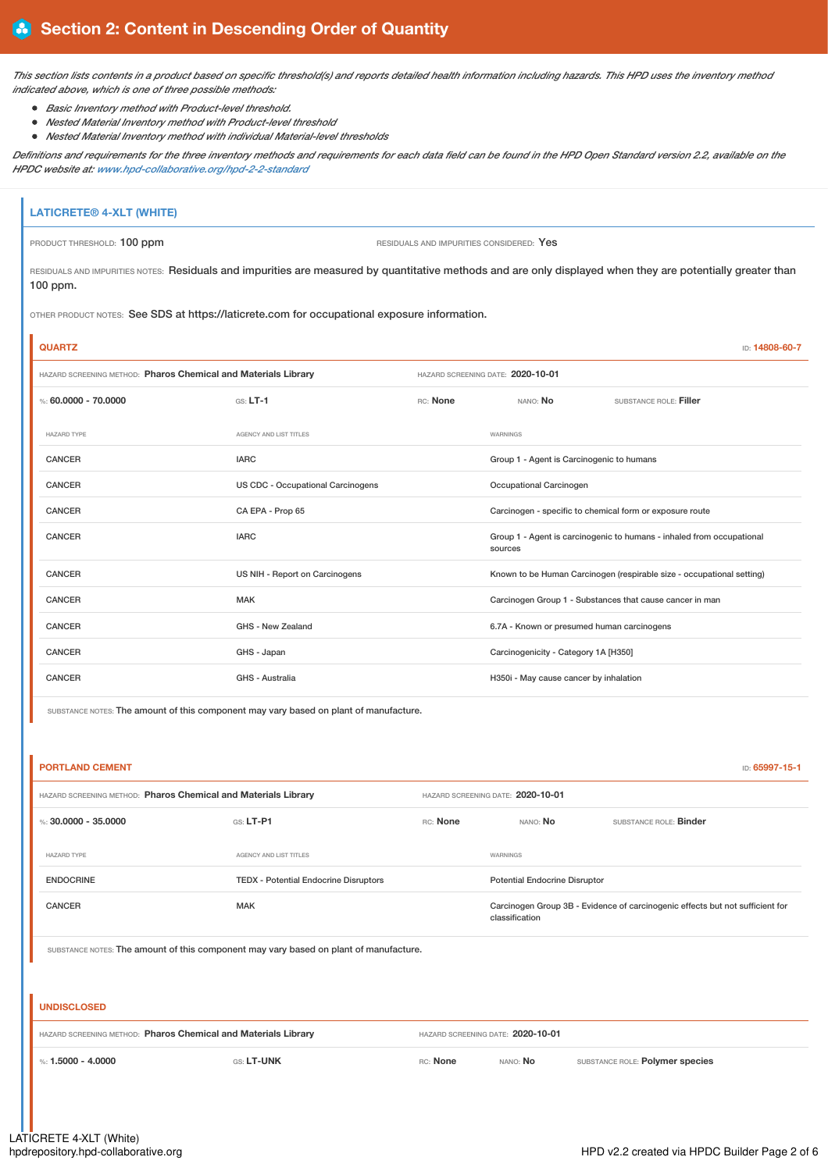This section lists contents in a product based on specific threshold(s) and reports detailed health information including hazards. This HPD uses the inventory method *indicated above, which is one of three possible methods:*

- *Basic Inventory method with Product-level threshold.*
- *Nested Material Inventory method with Product-level threshold*
- *Nested Material Inventory method with individual Material-level thresholds*

Definitions and requirements for the three inventory methods and requirements for each data field can be found in the HPD Open Standard version 2.2, available on the *HPDC website at: [www.hpd-collaborative.org/hpd-2-2-standard](https://www.hpd-collaborative.org/hpd-2-2-standard)*

# **LATICRETE® 4-XLT (WHITE)**

j.

PRODUCT THRESHOLD: 100 ppm **RESIDUALS** AND IMPURITIES CONSIDERED: Yes

RESIDUALS AND IMPURITIES NOTES: Residuals and impurities are measured by quantitative methods and are only displayed when they are potentially greater than 100 ppm.

OTHER PRODUCT NOTES: See SDS at https://laticrete.com for occupational exposure information.

| <b>QUARTZ</b>                                                  |                                   |                                   |                                                          | ID: 14808-60-7                                                        |
|----------------------------------------------------------------|-----------------------------------|-----------------------------------|----------------------------------------------------------|-----------------------------------------------------------------------|
| HAZARD SCREENING METHOD: Pharos Chemical and Materials Library |                                   | HAZARD SCREENING DATE: 2020-10-01 |                                                          |                                                                       |
| %: 60,0000 - 70,0000                                           | $GS: LT-1$<br>RC: None            |                                   | NANO: NO                                                 | SUBSTANCE ROLE: Filler                                                |
| <b>HAZARD TYPE</b>                                             | AGENCY AND LIST TITLES            |                                   | WARNINGS                                                 |                                                                       |
| <b>CANCER</b>                                                  | <b>IARC</b>                       |                                   | Group 1 - Agent is Carcinogenic to humans                |                                                                       |
| <b>CANCER</b>                                                  | US CDC - Occupational Carcinogens |                                   | Occupational Carcinogen                                  |                                                                       |
| CANCER                                                         | CA EPA - Prop 65                  |                                   |                                                          | Carcinogen - specific to chemical form or exposure route              |
| <b>CANCER</b>                                                  | <b>IARC</b>                       |                                   | sources                                                  | Group 1 - Agent is carcinogenic to humans - inhaled from occupational |
| <b>CANCER</b>                                                  | US NIH - Report on Carcinogens    |                                   |                                                          | Known to be Human Carcinogen (respirable size - occupational setting) |
| CANCER                                                         | <b>MAK</b>                        |                                   | Carcinogen Group 1 - Substances that cause cancer in man |                                                                       |
| <b>CANCER</b>                                                  | GHS - New Zealand                 |                                   | 6.7A - Known or presumed human carcinogens               |                                                                       |
| <b>CANCER</b>                                                  | GHS - Japan                       |                                   | Carcinogenicity - Category 1A [H350]                     |                                                                       |
| <b>CANCER</b>                                                  | GHS - Australia                   |                                   | H350i - May cause cancer by inhalation                   |                                                                       |

SUBSTANCE NOTES: The amount of this component may vary based on plant of manufacture.

| <b>PORTLAND CEMENT</b>                                                                |                                              |                |                                   | ID: 65997-15-1                                                                |  |
|---------------------------------------------------------------------------------------|----------------------------------------------|----------------|-----------------------------------|-------------------------------------------------------------------------------|--|
| HAZARD SCREENING METHOD: Pharos Chemical and Materials Library                        |                                              |                | HAZARD SCREENING DATE: 2020-10-01 |                                                                               |  |
| %: $30,0000 - 35,0000$                                                                | GS: LT-P1                                    | RC: None       | NANO: No                          | SUBSTANCE ROLE: Binder                                                        |  |
| <b>HAZARD TYPE</b>                                                                    | AGENCY AND LIST TITLES                       |                | WARNINGS                          |                                                                               |  |
| <b>ENDOCRINE</b>                                                                      | <b>TEDX</b> - Potential Endocrine Disruptors |                | Potential Endocrine Disruptor     |                                                                               |  |
| <b>CANCER</b>                                                                         | <b>MAK</b>                                   | classification |                                   | Carcinogen Group 3B - Evidence of carcinogenic effects but not sufficient for |  |
| SUBSTANCE NOTES: The amount of this component may vary based on plant of manufacture. |                                              |                |                                   |                                                                               |  |
|                                                                                       |                                              |                |                                   |                                                                               |  |
| <b>UNDISCLOSED</b>                                                                    |                                              |                |                                   |                                                                               |  |
| HAZARD SCREENING METHOD: Pharos Chemical and Materials Library                        |                                              |                | HAZARD SCREENING DATE: 2020-10-01 |                                                                               |  |
| %: $1.5000 - 4.0000$                                                                  | GS: LT-UNK                                   | RC: None       | NANO: <b>No</b>                   | SUBSTANCE ROLE: Polymer species                                               |  |
|                                                                                       |                                              |                |                                   |                                                                               |  |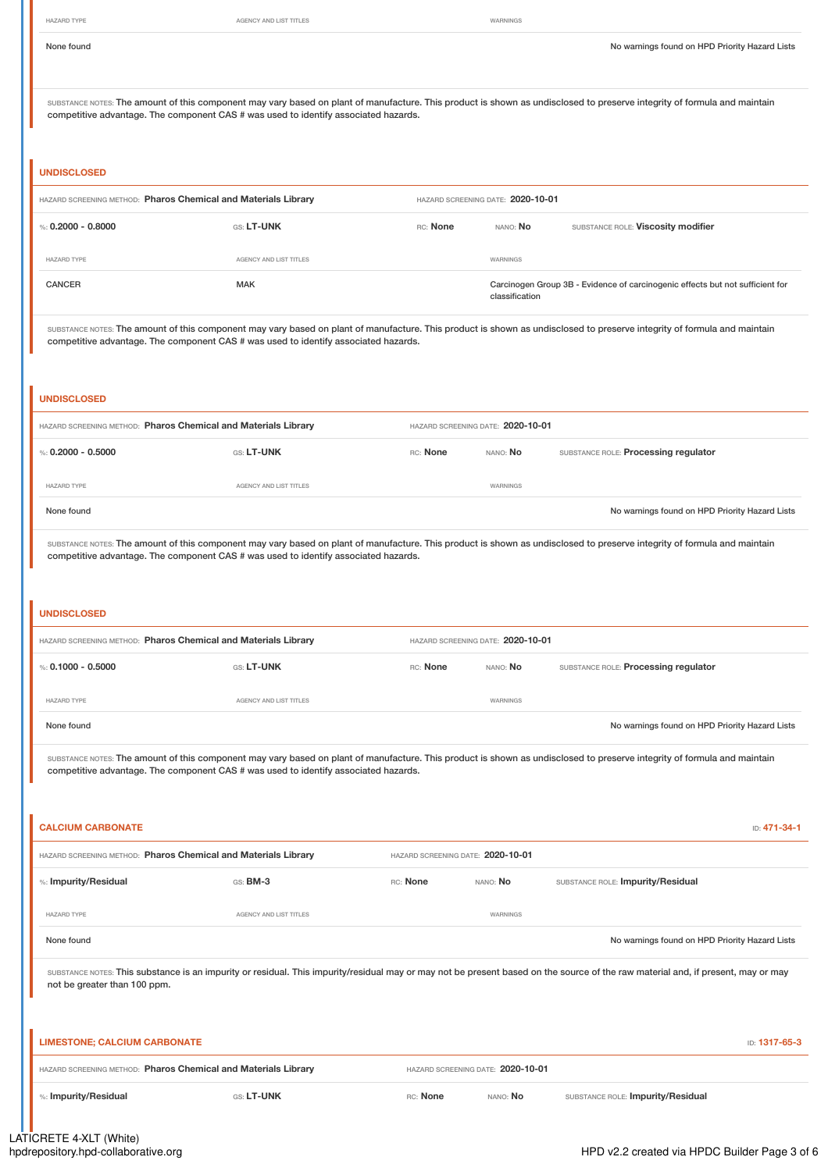ı

HAZARD TYPE **AGENCY AND LIST TITLES** AGENCY AND LIST TITLES

| None found                                                                                                |                        |                                   |                                   | No warnings found on HPD Priority Hazard Lists                                                                                                                                   |
|-----------------------------------------------------------------------------------------------------------|------------------------|-----------------------------------|-----------------------------------|----------------------------------------------------------------------------------------------------------------------------------------------------------------------------------|
| competitive advantage. The component CAS # was used to identify associated hazards.                       |                        |                                   |                                   | SUBSTANCE NOTES: The amount of this component may vary based on plant of manufacture. This product is shown as undisclosed to preserve integrity of formula and maintain         |
| <b>UNDISCLOSED</b>                                                                                        |                        |                                   |                                   |                                                                                                                                                                                  |
| HAZARD SCREENING METHOD: Pharos Chemical and Materials Library                                            |                        |                                   | HAZARD SCREENING DATE: 2020-10-01 |                                                                                                                                                                                  |
| %: $0.2000 - 0.8000$                                                                                      | GS: LT-UNK             | RC: None                          | NANO: No                          | SUBSTANCE ROLE: Viscosity modifier                                                                                                                                               |
| HAZARD TYPE                                                                                               | AGENCY AND LIST TITLES |                                   | WARNINGS                          |                                                                                                                                                                                  |
| <b>CANCER</b>                                                                                             | <b>MAK</b>             |                                   | classification                    | Carcinogen Group 3B - Evidence of carcinogenic effects but not sufficient for                                                                                                    |
| competitive advantage. The component CAS # was used to identify associated hazards.                       |                        |                                   |                                   | SUBSTANCE NOTES: The amount of this component may vary based on plant of manufacture. This product is shown as undisclosed to preserve integrity of formula and maintain         |
| <b>UNDISCLOSED</b>                                                                                        |                        |                                   |                                   |                                                                                                                                                                                  |
| HAZARD SCREENING METHOD: Pharos Chemical and Materials Library                                            |                        | HAZARD SCREENING DATE: 2020-10-01 |                                   |                                                                                                                                                                                  |
| %: $0.2000 - 0.5000$                                                                                      | GS: LT-UNK             | RC: None                          | NANO: No                          | SUBSTANCE ROLE: Processing regulator                                                                                                                                             |
| <b>HAZARD TYPE</b>                                                                                        | AGENCY AND LIST TITLES |                                   | WARNINGS                          |                                                                                                                                                                                  |
| None found                                                                                                |                        |                                   |                                   | No warnings found on HPD Priority Hazard Lists                                                                                                                                   |
| competitive advantage. The component CAS # was used to identify associated hazards.<br><b>UNDISCLOSED</b> |                        |                                   |                                   |                                                                                                                                                                                  |
| HAZARD SCREENING METHOD: Pharos Chemical and Materials Library                                            |                        | HAZARD SCREENING DATE: 2020-10-01 |                                   |                                                                                                                                                                                  |
| %: $0.1000 - 0.5000$                                                                                      | GS: LT-UNK             | RC: None                          | NANO: No                          | SUBSTANCE ROLE: Processing regulator                                                                                                                                             |
| HAZARD TYPE                                                                                               | AGENCY AND LIST TITLES |                                   | WARNINGS                          |                                                                                                                                                                                  |
| None found                                                                                                |                        |                                   |                                   | No warnings found on HPD Priority Hazard Lists                                                                                                                                   |
| competitive advantage. The component CAS # was used to identify associated hazards.                       |                        |                                   |                                   | SUBSTANCE NOTES: The amount of this component may vary based on plant of manufacture. This product is shown as undisclosed to preserve integrity of formula and maintain         |
| <b>CALCIUM CARBONATE</b>                                                                                  |                        |                                   |                                   | ID: 471-34-1                                                                                                                                                                     |
| HAZARD SCREENING METHOD: Pharos Chemical and Materials Library                                            |                        | HAZARD SCREENING DATE: 2020-10-01 |                                   |                                                                                                                                                                                  |
| %: Impurity/Residual                                                                                      | GS: BM-3               | RC: None                          | NANO: No                          | SUBSTANCE ROLE: Impurity/Residual                                                                                                                                                |
| <b>HAZARD TYPE</b>                                                                                        | AGENCY AND LIST TITLES |                                   | WARNINGS                          |                                                                                                                                                                                  |
| None found                                                                                                |                        |                                   |                                   | No warnings found on HPD Priority Hazard Lists                                                                                                                                   |
| not be greater than 100 ppm.                                                                              |                        |                                   |                                   | SUBSTANCE NOTES: This substance is an impurity or residual. This impurity/residual may or may not be present based on the source of the raw material and, if present, may or may |
| <b>LIMESTONE; CALCIUM CARBONATE</b>                                                                       |                        |                                   |                                   | ID: 1317-65-3                                                                                                                                                                    |
| HAZARD SCREENING METHOD: Pharos Chemical and Materials Library                                            |                        | HAZARD SCREENING DATE: 2020-10-01 |                                   |                                                                                                                                                                                  |
| %: Impurity/Residual                                                                                      | GS: LT-UNK             | RC: None                          | NANO: No                          | SUBSTANCE ROLE: Impurity/Residual                                                                                                                                                |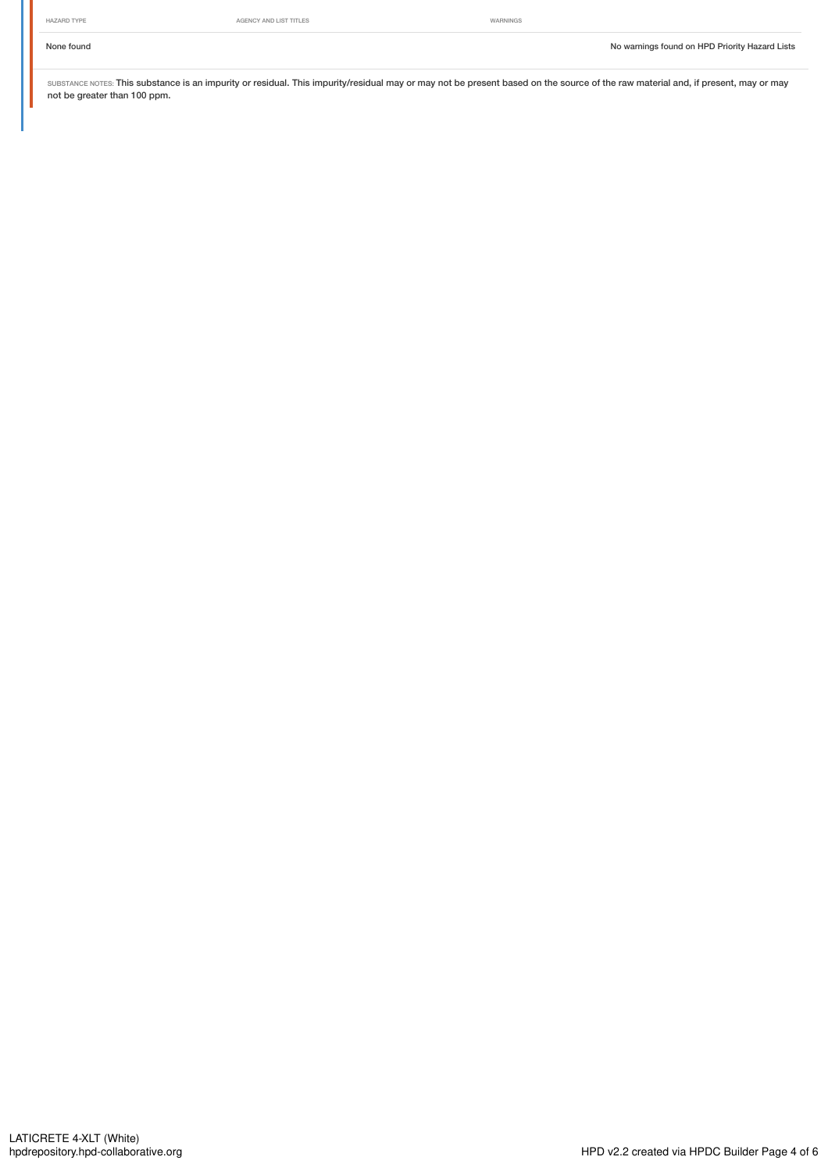SUBSTANCE NOTES: This substance is an impurity or residual. This impurity/residual may or may not be present based on the source of the raw material and, if present, may or may not be greater than 100 ppm.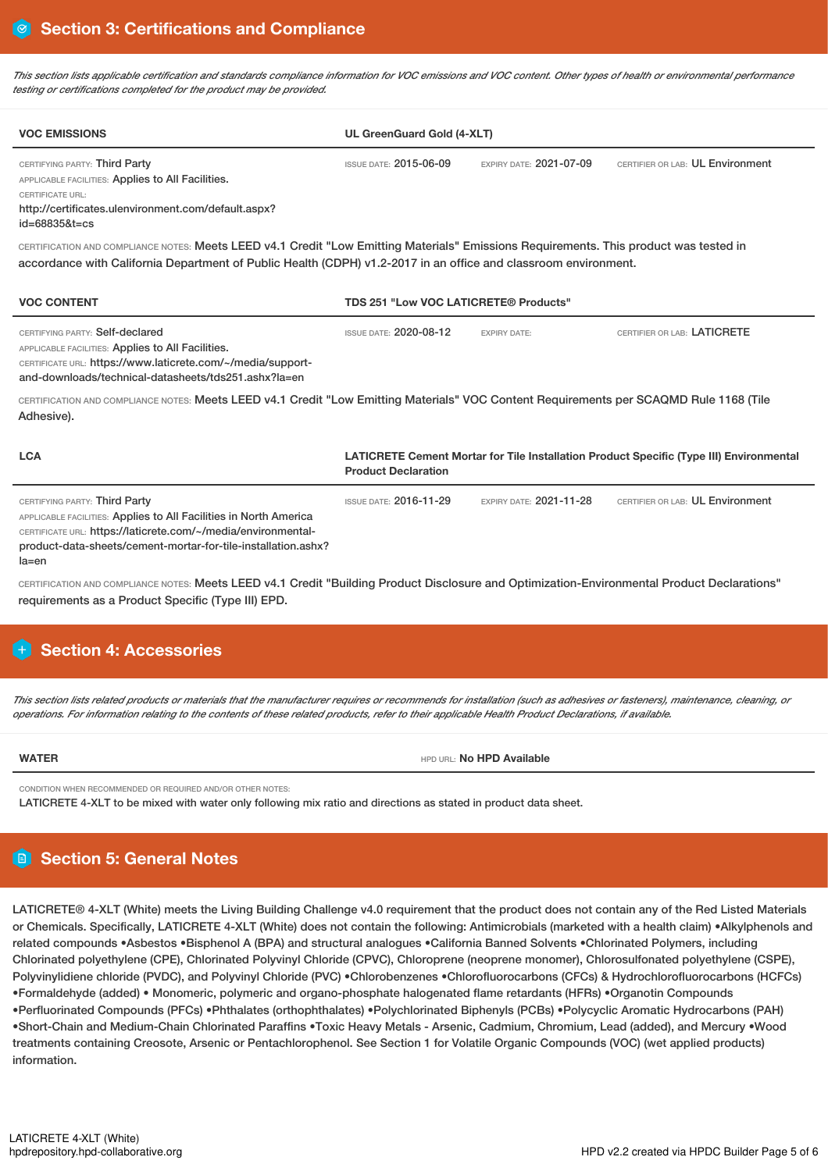This section lists applicable certification and standards compliance information for VOC emissions and VOC content. Other types of health or environmental performance *testing or certifications completed for the product may be provided.*

| <b>VOC EMISSIONS</b>                                                                                                                                                                                                                                                                                                                                                                                                                          | UL GreenGuard Gold (4-XLT)            |                                |                                                                                         |
|-----------------------------------------------------------------------------------------------------------------------------------------------------------------------------------------------------------------------------------------------------------------------------------------------------------------------------------------------------------------------------------------------------------------------------------------------|---------------------------------------|--------------------------------|-----------------------------------------------------------------------------------------|
| CERTIFYING PARTY: Third Party<br>APPLICABLE FACILITIES: Applies to All Facilities.<br>CERTIFICATE URL:<br>http://certificates.ulenvironment.com/default.aspx?<br>id=68835&t=cs                                                                                                                                                                                                                                                                | <b>ISSUE DATE: 2015-06-09</b>         | EXPIRY DATE: 2021-07-09        | CERTIFIER OR LAB: UL Environment                                                        |
| CERTIFICATION AND COMPLIANCE NOTES: Meets LEED v4.1 Credit "Low Emitting Materials" Emissions Requirements. This product was tested in<br>accordance with California Department of Public Health (CDPH) v1.2-2017 in an office and classroom environment.                                                                                                                                                                                     |                                       |                                |                                                                                         |
| <b>VOC CONTENT</b>                                                                                                                                                                                                                                                                                                                                                                                                                            | TDS 251 "Low VOC LATICRETE® Products" |                                |                                                                                         |
| CERTIFYING PARTY: Self-declared<br>APPLICABLE FACILITIES: Applies to All Facilities.<br>CERTIFICATE URL: https://www.laticrete.com/~/media/support-<br>and-downloads/technical-datasheets/tds251.ashx?la=en                                                                                                                                                                                                                                   | <b>ISSUE DATE: 2020-08-12</b>         | <b>EXPIRY DATE:</b>            | CERTIFIER OR LAB: LATICRETE                                                             |
| CERTIFICATION AND COMPLIANCE NOTES: Meets LEED v4.1 Credit "Low Emitting Materials" VOC Content Requirements per SCAQMD Rule 1168 (Tile<br>Adhesive).                                                                                                                                                                                                                                                                                         |                                       |                                |                                                                                         |
| <b>LCA</b>                                                                                                                                                                                                                                                                                                                                                                                                                                    | <b>Product Declaration</b>            |                                | LATICRETE Cement Mortar for Tile Installation Product Specific (Type III) Environmental |
| CERTIFYING PARTY: Third Party<br>APPLICABLE FACILITIES: Applies to All Facilities in North America<br>CERTIFICATE URL: https://laticrete.com/~/media/environmental-<br>product-data-sheets/cement-mortar-for-tile-installation.ashx?<br>la=en<br>CERTIFICATION AND COMPLIANCE NOTES: Meets LEED v4.1 Credit "Building Product Disclosure and Optimization-Environmental Product Declarations"                                                 | <b>ISSUE DATE: 2016-11-29</b>         | <b>EXPIRY DATE: 2021-11-28</b> | CERTIFIER OR LAB: UL Environment                                                        |
| requirements as a Product Specific (Type III) EPD.<br>+ Section 4: Accessories                                                                                                                                                                                                                                                                                                                                                                |                                       |                                |                                                                                         |
| This section lists related products or materials that the manufacturer requires or recommends for installation (such as adhesives or fasteners), maintenance, cleaning, or<br>operations. For information relating to the contents of these related products, refer to their applicable Health Product Declarations, if available.                                                                                                            |                                       |                                |                                                                                         |
| <b>WATER</b>                                                                                                                                                                                                                                                                                                                                                                                                                                  |                                       | HPD URL: No HPD Available      |                                                                                         |
| CONDITION WHEN RECOMMENDED OR REQUIRED AND/OR OTHER NOTES:<br>LATICRETE 4-XLT to be mixed with water only following mix ratio and directions as stated in product data sheet.                                                                                                                                                                                                                                                                 |                                       |                                |                                                                                         |
| <b>B</b> Section 5: General Notes                                                                                                                                                                                                                                                                                                                                                                                                             |                                       |                                |                                                                                         |
| LATICRETE® 4-XLT (White) meets the Living Building Challenge v4.0 requirement that the product does not contain any of the Red Listed Materials<br>or Chemicals. Specifically, LATICRETE 4-XLT (White) does not contain the following: Antimicrobials (marketed with a health claim) .Alkylphenols and<br>related compounds •Ashestos •Bisphenol A (BPA) and structural analogues •California Banned Solvents •Chlorinated Polymers including |                                       |                                |                                                                                         |

related compounds •Asbestos •Bisphenol A (BPA) and structural analogues •California Banned Solvents •Chlorinated Polymers, including Chlorinated polyethylene (CPE), Chlorinated Polyvinyl Chloride (CPVC), Chloroprene (neoprene monomer), Chlorosulfonated polyethylene (CSPE), Polyvinylidiene chloride (PVDC), and Polyvinyl Chloride (PVC) •Chlorobenzenes •Chlorofluorocarbons (CFCs) & Hydrochlorofluorocarbons (HCFCs) •Formaldehyde (added) • Monomeric, polymeric and organo-phosphate halogenated flame retardants (HFRs) •Organotin Compounds •Perfluorinated Compounds (PFCs) •Phthalates (orthophthalates) •Polychlorinated Biphenyls (PCBs) •Polycyclic Aromatic Hydrocarbons (PAH) •Short-Chain and Medium-Chain Chlorinated Paraffins •Toxic Heavy Metals - Arsenic, Cadmium, Chromium, Lead (added), and Mercury •Wood treatments containing Creosote, Arsenic or Pentachlorophenol. See Section 1 for Volatile Organic Compounds (VOC) (wet applied products) information.